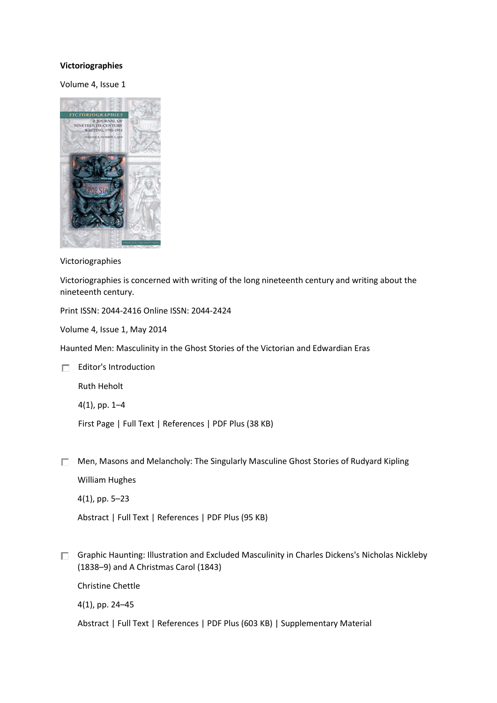## **[Victoriographies](https://www.euppublishing.com/journal/vic)**

Volume 4, Issue 1



Victoriographies

Victoriographies is concerned with writing of the long nineteenth century and writing about the nineteenth century.

Print ISSN: 2044-2416 Online ISSN: 2044-2424

Volume 4, Issue 1, May 2014

Haunted Men: Masculinity in the Ghost Stories of the Victorian and Edwardian Eras

 $\Box$  [Editor's Introduction](https://www.euppublishing.com/doi/abs/10.3366/vic.2014.0147)

[Ruth Heholt](https://www.euppublishing.com/author/Heholt%2C+Ruth)

4(1), pp. 1–4

[First Page](https://www.euppublishing.com/doi/abs/10.3366/vic.2014.0147) | [Full Text](https://www.euppublishing.com/doi/full/10.3366/vic.2014.0147) | [References](https://www.euppublishing.com/doi/ref/10.3366/vic.2014.0147) [| PDF Plus \(38 KB\)](https://www.euppublishing.com/doi/pdfplus/10.3366/vic.2014.0147)

 $\Box$  [Men, Masons and Melancholy: The Singularly Masculine Ghost Stories of Rudyard Kipling](https://www.euppublishing.com/doi/abs/10.3366/vic.2014.0148) [William Hughes](https://www.euppublishing.com/author/Hughes%2C+William)

4(1), pp. 5–23

[Abstract](https://www.euppublishing.com/doi/abs/10.3366/vic.2014.0148) [| Full Text](https://www.euppublishing.com/doi/full/10.3366/vic.2014.0148) | [References](https://www.euppublishing.com/doi/ref/10.3366/vic.2014.0148) | [PDF Plus \(95 KB\)](https://www.euppublishing.com/doi/pdfplus/10.3366/vic.2014.0148)

[Graphic Haunting: Illustration and Excluded Masculinity in Charles Dickens's Nicholas Nickleby](https://www.euppublishing.com/doi/abs/10.3366/vic.2014.0149) (1838–[9\) and A Christmas Carol](https://www.euppublishing.com/doi/abs/10.3366/vic.2014.0149) (1843)

[Christine Chettle](https://www.euppublishing.com/author/Chettle%2C+Christine)

4(1), pp. 24–45

[Abstract](https://www.euppublishing.com/doi/abs/10.3366/vic.2014.0149) [| Full Text](https://www.euppublishing.com/doi/full/10.3366/vic.2014.0149) | [References](https://www.euppublishing.com/doi/ref/10.3366/vic.2014.0149) | [PDF Plus \(603 KB\)](https://www.euppublishing.com/doi/pdfplus/10.3366/vic.2014.0149) [| Supplementary Material](https://www.euppublishing.com/doi/suppl/10.3366/vic.2014.0149)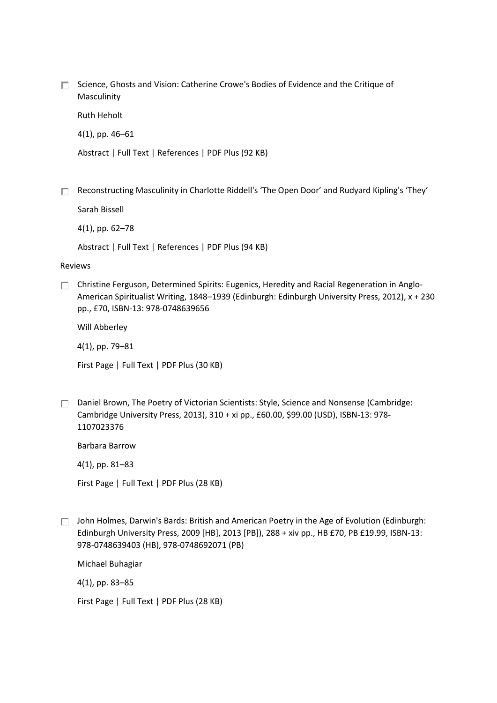□ Science, Ghosts and Vision: Catherine Crowe's Bodies of Evidence and the Critique of [Masculinity](https://www.euppublishing.com/doi/abs/10.3366/vic.2014.0150)

[Ruth Heholt](https://www.euppublishing.com/author/Heholt%2C+Ruth)

4(1), pp. 46–61

[Abstract](https://www.euppublishing.com/doi/abs/10.3366/vic.2014.0150) [| Full Text](https://www.euppublishing.com/doi/full/10.3366/vic.2014.0150) | [References](https://www.euppublishing.com/doi/ref/10.3366/vic.2014.0150) | [PDF Plus \(92 KB\)](https://www.euppublishing.com/doi/pdfplus/10.3366/vic.2014.0150)

[Reconstructing Masculinity in Charlotte Riddell's 'The Open Door' and Rudyard Kipling's 'They'](https://www.euppublishing.com/doi/abs/10.3366/vic.2014.0151)

[Sarah Bissell](https://www.euppublishing.com/author/Bissell%2C+Sarah)

4(1), pp. 62–78

[Abstract](https://www.euppublishing.com/doi/abs/10.3366/vic.2014.0151) [| Full Text](https://www.euppublishing.com/doi/full/10.3366/vic.2014.0151) | [References](https://www.euppublishing.com/doi/ref/10.3366/vic.2014.0151) | [PDF Plus \(94 KB\)](https://www.euppublishing.com/doi/pdfplus/10.3366/vic.2014.0151)

## Reviews

[Christine Ferguson, Determined Spirits: Eugenics, Heredity and Racial Regeneration in Anglo-](https://www.euppublishing.com/doi/abs/10.3366/vic.2014.0152)American Spiritualist Writing, 1848–1939 [\(Edinburgh: Edinburgh University Press, 2012\), x + 230](https://www.euppublishing.com/doi/abs/10.3366/vic.2014.0152)  [pp., £70, ISBN-13: 978-0748639656](https://www.euppublishing.com/doi/abs/10.3366/vic.2014.0152)

[Will Abberley](https://www.euppublishing.com/author/Abberley%2C+Will)

4(1), pp. 79–81

[First Page](https://www.euppublishing.com/doi/abs/10.3366/vic.2014.0152) | [Full Text](https://www.euppublishing.com/doi/full/10.3366/vic.2014.0152) | [PDF Plus \(30 KB\)](https://www.euppublishing.com/doi/pdfplus/10.3366/vic.2014.0152)

 $\Box$  [Daniel Brown, The Poetry of Victorian Scientists: Style, Science and Nonsense](https://www.euppublishing.com/doi/abs/10.3366/vic.2014.0153) (Cambridge: [Cambridge University Press, 2013\), 310 + xi pp., £60.00, \\$99.00 \(USD\), ISBN-13: 978-](https://www.euppublishing.com/doi/abs/10.3366/vic.2014.0153) [1107023376](https://www.euppublishing.com/doi/abs/10.3366/vic.2014.0153)

[Barbara Barrow](https://www.euppublishing.com/author/Barrow%2C+Barbara)

4(1), pp. 81–83

[First Page](https://www.euppublishing.com/doi/abs/10.3366/vic.2014.0153) | [Full Text](https://www.euppublishing.com/doi/full/10.3366/vic.2014.0153) | [PDF Plus \(28 KB\)](https://www.euppublishing.com/doi/pdfplus/10.3366/vic.2014.0153)

 $\Box$  [John Holmes, Darwin's Bards: British and American Poetry in the Age of Evolution](https://www.euppublishing.com/doi/abs/10.3366/vic.2014.0154) (Edinburgh: [Edinburgh University Press, 2009 \[HB\], 2013 \[PB\]\), 288 + xiv pp., HB £70, PB £19.99, ISBN-13:](https://www.euppublishing.com/doi/abs/10.3366/vic.2014.0154)  [978-0748639403 \(HB\), 978-0748692071 \(PB\)](https://www.euppublishing.com/doi/abs/10.3366/vic.2014.0154)

[Michael Buhagiar](https://www.euppublishing.com/author/Buhagiar%2C+Michael)

4(1), pp. 83–85

[First Page](https://www.euppublishing.com/doi/abs/10.3366/vic.2014.0154) | [Full Text](https://www.euppublishing.com/doi/full/10.3366/vic.2014.0154) | [PDF Plus \(28 KB\)](https://www.euppublishing.com/doi/pdfplus/10.3366/vic.2014.0154)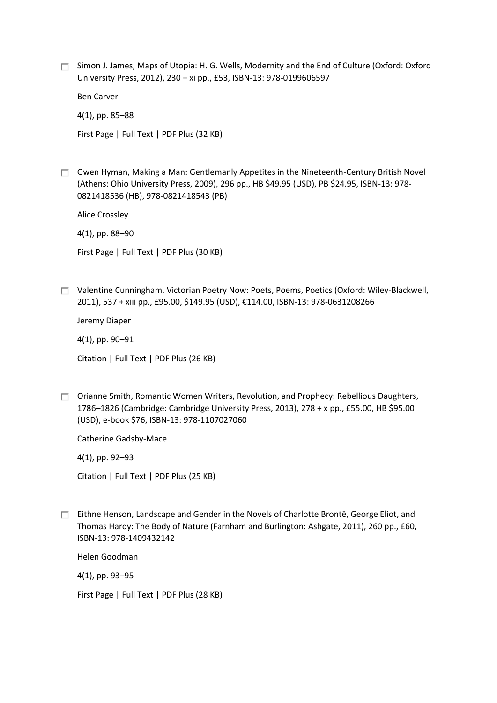$\Box$  [Simon J. James, Maps of Utopia: H. G. Wells, Modernity and the End of Culture](https://www.euppublishing.com/doi/abs/10.3366/vic.2014.0155) (Oxford: Oxford [University Press, 2012\), 230 + xi pp., £53, ISBN-13: 978-0199606597](https://www.euppublishing.com/doi/abs/10.3366/vic.2014.0155)

[Ben Carver](https://www.euppublishing.com/author/Carver%2C+Ben)

4(1), pp. 85–88

[First Page](https://www.euppublishing.com/doi/abs/10.3366/vic.2014.0155) | [Full Text](https://www.euppublishing.com/doi/full/10.3366/vic.2014.0155) | [PDF Plus \(32 KB\)](https://www.euppublishing.com/doi/pdfplus/10.3366/vic.2014.0155)

 $\Box$  [Gwen Hyman, Making a Man: Gentlemanly Appetites in the Nineteenth-Century British Novel](https://www.euppublishing.com/doi/abs/10.3366/vic.2014.0156) [\(Athens: Ohio University Press, 2009\), 296 pp., HB \\$49.95 \(USD\), PB \\$24.95, ISBN-13: 978-](https://www.euppublishing.com/doi/abs/10.3366/vic.2014.0156) [0821418536 \(HB\), 978-0821418543 \(PB\)](https://www.euppublishing.com/doi/abs/10.3366/vic.2014.0156)

[Alice Crossley](https://www.euppublishing.com/author/Crossley%2C+Alice)

4(1), pp. 88–90

[First Page](https://www.euppublishing.com/doi/abs/10.3366/vic.2014.0156) | [Full Text](https://www.euppublishing.com/doi/full/10.3366/vic.2014.0156) | [PDF Plus \(30 KB\)](https://www.euppublishing.com/doi/pdfplus/10.3366/vic.2014.0156)

[Valentine Cunningham, Victorian Poetry Now: Poets, Poems, Poetics](https://www.euppublishing.com/doi/abs/10.3366/vic.2014.0157) (Oxford: Wiley-Blackwell, [2011\), 537 + xiii pp., £95.00, \\$149.95 \(USD\), €114.00, ISBN](https://www.euppublishing.com/doi/abs/10.3366/vic.2014.0157)-13: 978-0631208266

[Jeremy Diaper](https://www.euppublishing.com/author/Diaper%2C+Jeremy)

4(1), pp. 90–91

[Citation](https://www.euppublishing.com/doi/abs/10.3366/vic.2014.0157) [| Full Text](https://www.euppublishing.com/doi/full/10.3366/vic.2014.0157) [| PDF Plus \(26 KB\)](https://www.euppublishing.com/doi/pdfplus/10.3366/vic.2014.0157)

 $\Box$  Orianne Smith, Romantic Women Writers, Revolution, and Prophecy: Rebellious Daughters, 1786–1826 [\(Cambridge: Cambridge University Press, 2013\),](https://www.euppublishing.com/doi/abs/10.3366/vic.2014.0158) 278 + x pp., £55.00, HB \$95.00 [\(USD\), e-book \\$76, ISBN-13: 978-1107027060](https://www.euppublishing.com/doi/abs/10.3366/vic.2014.0158)

[Catherine Gadsby-Mace](https://www.euppublishing.com/author/Gadsby-Mace%2C+Catherine)

4(1), pp. 92–93

[Citation](https://www.euppublishing.com/doi/abs/10.3366/vic.2014.0158) [| Full Text](https://www.euppublishing.com/doi/full/10.3366/vic.2014.0158) [| PDF Plus \(25 KB\)](https://www.euppublishing.com/doi/pdfplus/10.3366/vic.2014.0158)

[Eithne Henson, Landscape and Gender in the Novels](https://www.euppublishing.com/doi/abs/10.3366/vic.2014.0159) of Charlotte Brontë, George Eliot, and Thomas Hardy: The Body of Nature [\(Farnham and Burlington: Ashgate, 2011\), 260 pp., £60,](https://www.euppublishing.com/doi/abs/10.3366/vic.2014.0159)  [ISBN-13: 978-1409432142](https://www.euppublishing.com/doi/abs/10.3366/vic.2014.0159)

[Helen Goodman](https://www.euppublishing.com/author/Goodman%2C+Helen)

4(1), pp. 93–95

[First Page](https://www.euppublishing.com/doi/abs/10.3366/vic.2014.0159) | [Full Text](https://www.euppublishing.com/doi/full/10.3366/vic.2014.0159) | [PDF Plus \(28 KB\)](https://www.euppublishing.com/doi/pdfplus/10.3366/vic.2014.0159)